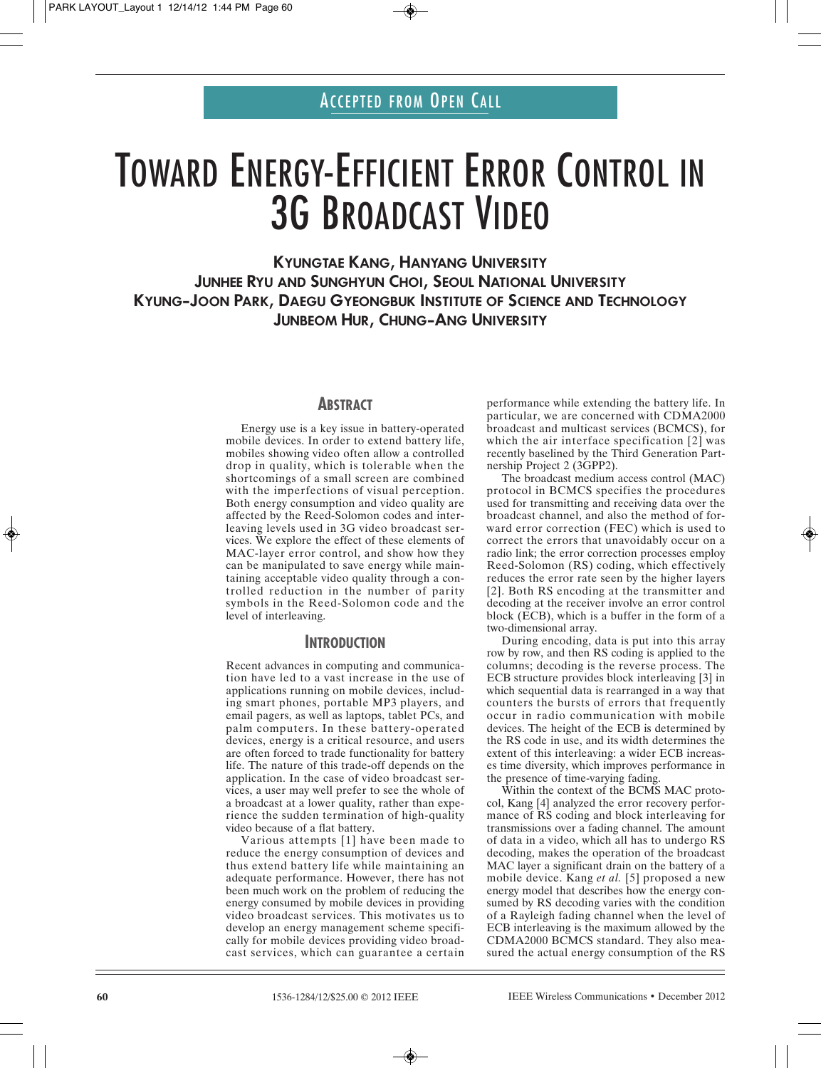# TOWARD ENERGY-EFFICIENT ERROR CONTROL IN 3G BROADCAST VIDEO

**KYUNGTAE KANG, HANYANG UNIVERSITY JUNHEE RYU AND SUNGHYUN CHOI, SEOUL NATIONAL UNIVERSITY KYUNG-JOON PARK, DAEGU GYEONGBUK INSTITUTE OF SCIENCE AND TECHNOLOGY JUNBEOM HUR, CHUNG-ANG UNIVERSITY**

## **ABSTRACT**

Energy use is a key issue in battery-operated mobile devices. In order to extend battery life, mobiles showing video often allow a controlled drop in quality, which is tolerable when the shortcomings of a small screen are combined with the imperfections of visual perception. Both energy consumption and video quality are affected by the Reed-Solomon codes and interleaving levels used in 3G video broadcast services. We explore the effect of these elements of MAC-layer error control, and show how they can be manipulated to save energy while maintaining acceptable video quality through a controlled reduction in the number of parity symbols in the Reed-Solomon code and the level of interleaving.

#### **INTRODUCTION**

Recent advances in computing and communication have led to a vast increase in the use of applications running on mobile devices, including smart phones, portable MP3 players, and email pagers, as well as laptops, tablet PCs, and palm computers. In these battery-operated devices, energy is a critical resource, and users are often forced to trade functionality for battery life. The nature of this trade-off depends on the application. In the case of video broadcast services, a user may well prefer to see the whole of a broadcast at a lower quality, rather than experience the sudden termination of high-quality video because of a flat battery.

Various attempts [1] have been made to reduce the energy consumption of devices and thus extend battery life while maintaining an adequate performance. However, there has not been much work on the problem of reducing the energy consumed by mobile devices in providing video broadcast services. This motivates us to develop an energy management scheme specifically for mobile devices providing video broadcast services, which can guarantee a certain performance while extending the battery life. In particular, we are concerned with CDMA2000 broadcast and multicast services (BCMCS), for which the air interface specification [2] was recently baselined by the Third Generation Partnership Project 2 (3GPP2).

The broadcast medium access control (MAC) protocol in BCMCS specifies the procedures used for transmitting and receiving data over the broadcast channel, and also the method of forward error correction (FEC) which is used to correct the errors that unavoidably occur on a radio link; the error correction processes employ Reed-Solomon (RS) coding, which effectively reduces the error rate seen by the higher layers [2]. Both RS encoding at the transmitter and decoding at the receiver involve an error control block (ECB), which is a buffer in the form of a two-dimensional array.

During encoding, data is put into this array row by row, and then RS coding is applied to the columns; decoding is the reverse process. The ECB structure provides block interleaving [3] in which sequential data is rearranged in a way that counters the bursts of errors that frequently occur in radio communication with mobile devices. The height of the ECB is determined by the RS code in use, and its width determines the extent of this interleaving: a wider ECB increases time diversity, which improves performance in the presence of time-varying fading.

Within the context of the BCMS MAC protocol, Kang [4] analyzed the error recovery performance of RS coding and block interleaving for transmissions over a fading channel. The amount of data in a video, which all has to undergo RS decoding, makes the operation of the broadcast MAC layer a significant drain on the battery of a mobile device. Kang *et al.* [5] proposed a new energy model that describes how the energy consumed by RS decoding varies with the condition of a Rayleigh fading channel when the level of ECB interleaving is the maximum allowed by the CDMA2000 BCMCS standard. They also measured the actual energy consumption of the RS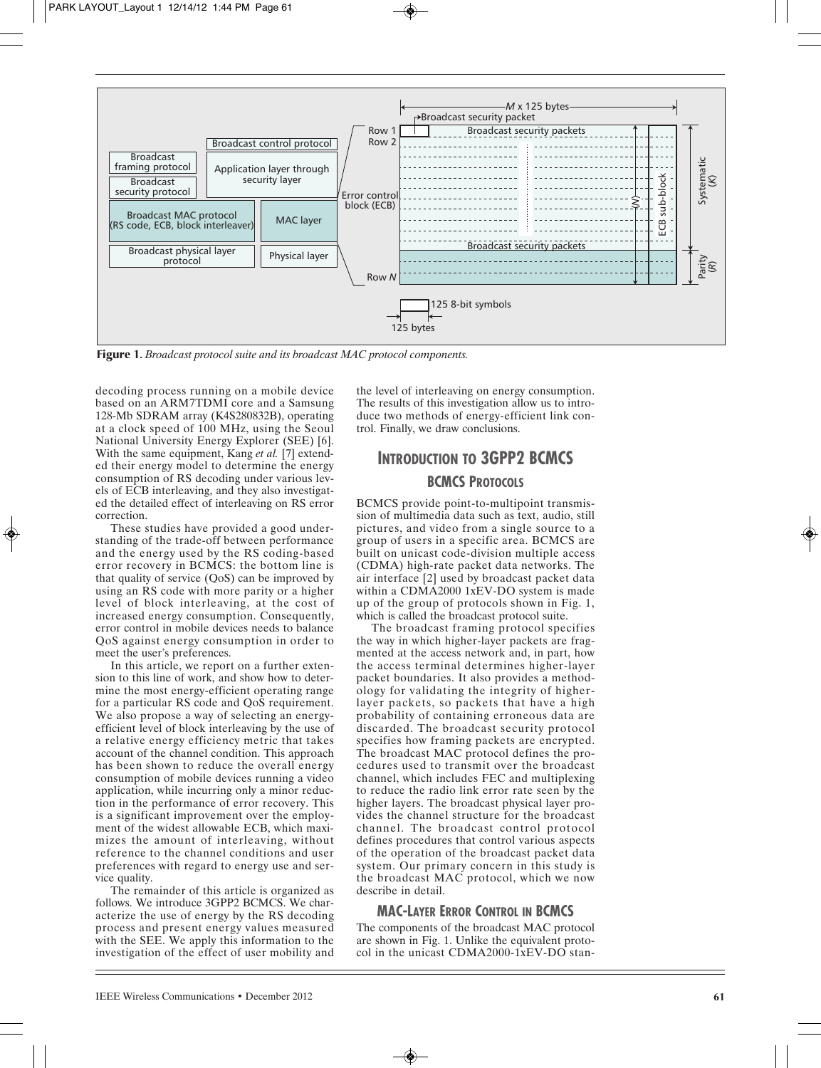

**Figure 1.** *Broadcast protocol suite and its broadcast MAC protocol components.*

decoding process running on a mobile device based on an ARM7TDMI core and a Samsung 128-Mb SDRAM array (K4S280832B), operating at a clock speed of 100 MHz, using the Seoul National University Energy Explorer (SEE) [6]. With the same equipment, Kang *et al.* [7] extended their energy model to determine the energy consumption of RS decoding under various levels of ECB interleaving, and they also investigated the detailed effect of interleaving on RS error correction.

These studies have provided a good understanding of the trade-off between performance and the energy used by the RS coding-based error recovery in BCMCS: the bottom line is that quality of service (QoS) can be improved by using an RS code with more parity or a higher level of block interleaving, at the cost of increased energy consumption. Consequently, error control in mobile devices needs to balance QoS against energy consumption in order to meet the user's preferences.

In this article, we report on a further extension to this line of work, and show how to determine the most energy-efficient operating range for a particular RS code and QoS requirement. We also propose a way of selecting an energyefficient level of block interleaving by the use of a relative energy efficiency metric that takes account of the channel condition. This approach has been shown to reduce the overall energy consumption of mobile devices running a video application, while incurring only a minor reduction in the performance of error recovery. This is a significant improvement over the employment of the widest allowable ECB, which maximizes the amount of interleaving, without reference to the channel conditions and user preferences with regard to energy use and service quality.

The remainder of this article is organized as follows. We introduce 3GPP2 BCMCS. We characterize the use of energy by the RS decoding process and present energy values measured with the SEE. We apply this information to the investigation of the effect of user mobility and the level of interleaving on energy consumption. The results of this investigation allow us to introduce two methods of energy-efficient link control. Finally, we draw conclusions.

# **INTRODUCTION TO 3GPP2 BCMCS BCMCS PROTOCOLS**

BCMCS provide point-to-multipoint transmission of multimedia data such as text, audio, still pictures, and video from a single source to a group of users in a specific area. BCMCS are built on unicast code-division multiple access (CDMA) high-rate packet data networks. The air interface [2] used by broadcast packet data within a CDMA2000 1xEV-DO system is made up of the group of protocols shown in Fig. 1, which is called the broadcast protocol suite.

The broadcast framing protocol specifies the way in which higher-layer packets are fragmented at the access network and, in part, how the access terminal determines higher-layer packet boundaries. It also provides a methodology for validating the integrity of higherlayer packets, so packets that have a high probability of containing erroneous data are discarded. The broadcast security protocol specifies how framing packets are encrypted. The broadcast MAC protocol defines the procedures used to transmit over the broadcast channel, which includes FEC and multiplexing to reduce the radio link error rate seen by the higher layers. The broadcast physical layer provides the channel structure for the broadcast channel. The broadcast control protocol defines procedures that control various aspects of the operation of the broadcast packet data system. Our primary concern in this study is the broadcast MAC protocol, which we now describe in detail.

## **MAC-LAYER ERROR CONTROL IN BCMCS**

The components of the broadcast MAC protocol are shown in Fig. 1. Unlike the equivalent protocol in the unicast CDMA2000-1xEV-DO stan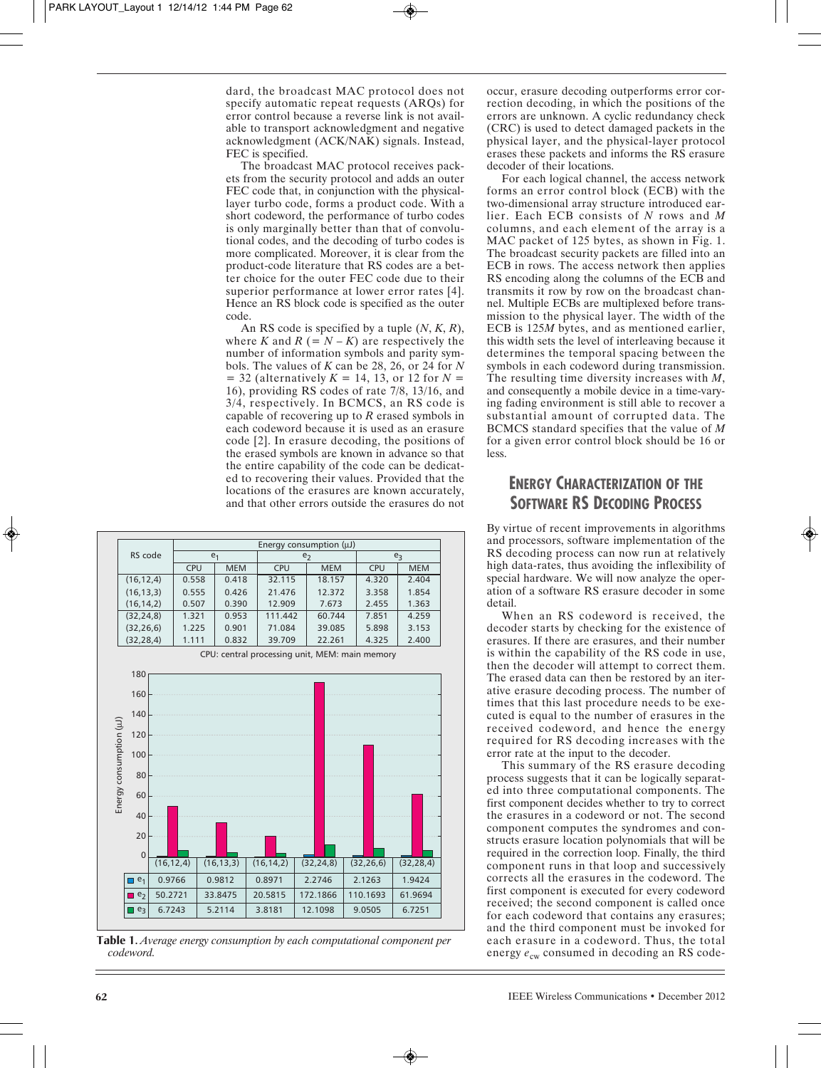dard, the broadcast MAC protocol does not specify automatic repeat requests (ARQs) for error control because a reverse link is not available to transport acknowledgment and negative acknowledgment (ACK/NAK) signals. Instead, FEC is specified.

The broadcast MAC protocol receives packets from the security protocol and adds an outer FEC code that, in conjunction with the physicallayer turbo code, forms a product code. With a short codeword, the performance of turbo codes is only marginally better than that of convolutional codes, and the decoding of turbo codes is more complicated. Moreover, it is clear from the product-code literature that RS codes are a better choice for the outer FEC code due to their superior performance at lower error rates [4]. Hence an RS block code is specified as the outer code.

An RS code is specified by a tuple (*N*, *K*, *R*), where *K* and  $R (= N - K)$  are respectively the number of information symbols and parity symbols. The values of *K* can be 28, 26, or 24 for *N*  $= 32$  (alternatively  $K = 14, 13$ , or 12 for  $N =$ 16), providing RS codes of rate 7/8, 13/16, and 3/4, respectively. In BCMCS, an RS code is capable of recovering up to *R* erased symbols in each codeword because it is used as an erasure code [2]. In erasure decoding, the positions of the erased symbols are known in advance so that the entire capability of the code can be dedicated to recovering their values. Provided that the locations of the erasures are known accurately, and that other errors outside the erasures do not



**Table 1.** *Average energy consumption by each computational component per codeword.*

occur, erasure decoding outperforms error correction decoding, in which the positions of the errors are unknown. A cyclic redundancy check (CRC) is used to detect damaged packets in the physical layer, and the physical-layer protocol erases these packets and informs the RS erasure decoder of their locations.

For each logical channel, the access network forms an error control block (ECB) with the two-dimensional array structure introduced earlier. Each ECB consists of *N* rows and *M* columns, and each element of the array is a MAC packet of 125 bytes, as shown in Fig. 1. The broadcast security packets are filled into an ECB in rows. The access network then applies RS encoding along the columns of the ECB and transmits it row by row on the broadcast channel. Multiple ECBs are multiplexed before transmission to the physical layer. The width of the ECB is 125*M* bytes, and as mentioned earlier, this width sets the level of interleaving because it determines the temporal spacing between the symbols in each codeword during transmission. The resulting time diversity increases with *M*, and consequently a mobile device in a time-varying fading environment is still able to recover a substantial amount of corrupted data. The BCMCS standard specifies that the value of *M* for a given error control block should be 16 or less.

# **ENERGY CHARACTERIZATION OF THE SOFTWARE RS DECODING PROCESS**

By virtue of recent improvements in algorithms and processors, software implementation of the RS decoding process can now run at relatively high data-rates, thus avoiding the inflexibility of special hardware. We will now analyze the operation of a software RS erasure decoder in some detail.

When an RS codeword is received, the decoder starts by checking for the existence of erasures. If there are erasures, and their number is within the capability of the RS code in use, then the decoder will attempt to correct them. The erased data can then be restored by an iterative erasure decoding process. The number of times that this last procedure needs to be executed is equal to the number of erasures in the received codeword, and hence the energy required for RS decoding increases with the error rate at the input to the decoder.

This summary of the RS erasure decoding process suggests that it can be logically separated into three computational components. The first component decides whether to try to correct the erasures in a codeword or not. The second component computes the syndromes and constructs erasure location polynomials that will be required in the correction loop. Finally, the third component runs in that loop and successively corrects all the erasures in the codeword. The first component is executed for every codeword received; the second component is called once for each codeword that contains any erasures; and the third component must be invoked for each erasure in a codeword. Thus, the total energy  $e_{\text{cw}}$  consumed in decoding an RS code-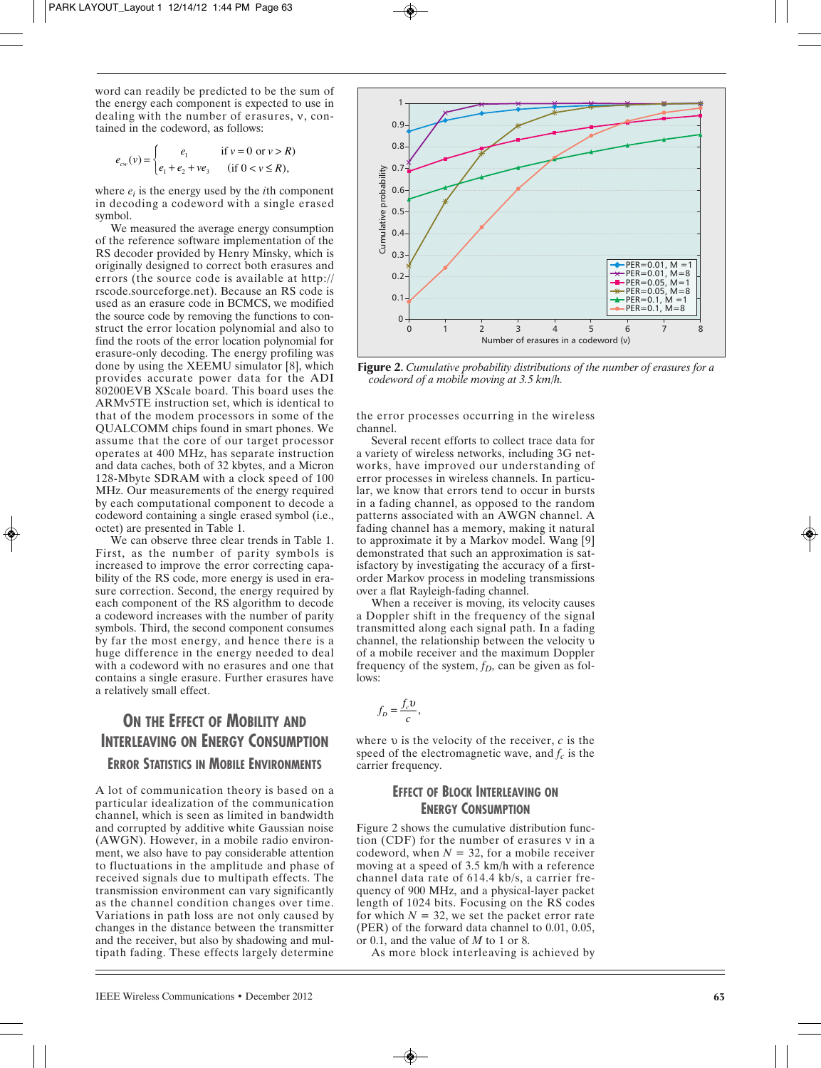word can readily be predicted to be the sum of the energy each component is expected to use in dealing with the number of erasures,  $v$ , contained in the codeword, as follows:

$$
e_{cw}(v) = \begin{cases} e_1 & \text{if } v = 0 \text{ or } v > R\\ e_1 + e_2 + v e_3 & \text{if } 0 < v \le R \end{cases}
$$

where  $e_i$  is the energy used by the *i*th component in decoding a codeword with a single erased symbol.

We measured the average energy consumption of the reference software implementation of the RS decoder provided by Henry Minsky, which is originally designed to correct both erasures and errors (the source code is available at http:// rscode.sourceforge.net). Because an RS code is used as an erasure code in BCMCS, we modified the source code by removing the functions to construct the error location polynomial and also to find the roots of the error location polynomial for erasure-only decoding. The energy profiling was done by using the XEEMU simulator [8], which provides accurate power data for the ADI 80200EVB XScale board. This board uses the ARMv5TE instruction set, which is identical to that of the modem processors in some of the QUALCOMM chips found in smart phones. We assume that the core of our target processor operates at 400 MHz, has separate instruction and data caches, both of 32 kbytes, and a Micron 128-Mbyte SDRAM with a clock speed of 100 MHz. Our measurements of the energy required by each computational component to decode a codeword containing a single erased symbol (i.e., octet) are presented in Table 1.

We can observe three clear trends in Table 1. First, as the number of parity symbols is increased to improve the error correcting capability of the RS code, more energy is used in erasure correction. Second, the energy required by each component of the RS algorithm to decode a codeword increases with the number of parity symbols. Third, the second component consumes by far the most energy, and hence there is a huge difference in the energy needed to deal with a codeword with no erasures and one that contains a single erasure. Further erasures have a relatively small effect.

# **ON THE EFFECT OF MOBILITY AND INTERLEAVING ON ENERGY CONSUMPTION ERROR STATISTICS IN MOBILE ENVIRONMENTS**

A lot of communication theory is based on a particular idealization of the communication channel, which is seen as limited in bandwidth and corrupted by additive white Gaussian noise (AWGN). However, in a mobile radio environment, we also have to pay considerable attention to fluctuations in the amplitude and phase of received signals due to multipath effects. The transmission environment can vary significantly as the channel condition changes over time. Variations in path loss are not only caused by changes in the distance between the transmitter and the receiver, but also by shadowing and multipath fading. These effects largely determine



**Figure 2.** *Cumulative probability distributions of the number of erasures for a codeword of a mobile moving at 3.5 km/h.*

the error processes occurring in the wireless channel.

Several recent efforts to collect trace data for a variety of wireless networks, including 3G networks, have improved our understanding of error processes in wireless channels. In particular, we know that errors tend to occur in bursts in a fading channel, as opposed to the random patterns associated with an AWGN channel. A fading channel has a memory, making it natural to approximate it by a Markov model. Wang [9] demonstrated that such an approximation is satisfactory by investigating the accuracy of a firstorder Markov process in modeling transmissions over a flat Rayleigh-fading channel.

When a receiver is moving, its velocity causes a Doppler shift in the frequency of the signal transmitted along each signal path. In a fading channel, the relationship between the velocity  $\nu$ of a mobile receiver and the maximum Doppler frequency of the system,  $f_D$ , can be given as follows:

$$
f_D = \frac{f_c \mathbf{v}}{c},
$$

where  $\nu$  is the velocity of the receiver,  $c$  is the speed of the electromagnetic wave, and  $f_c$  is the carrier frequency.

## **EFFECT OF BLOCK INTERLEAVING ON ENERGY CONSUMPTION**

Figure 2 shows the cumulative distribution function (CDF) for the number of erasures  $v$  in a codeword, when  $N = 32$ , for a mobile receiver moving at a speed of 3.5 km/h with a reference channel data rate of 614.4 kb/s, a carrier frequency of 900 MHz, and a physical-layer packet length of 1024 bits. Focusing on the RS codes for which  $N = 32$ , we set the packet error rate (PER) of the forward data channel to 0.01, 0.05, or 0.1, and the value of *M* to 1 or 8.

As more block interleaving is achieved by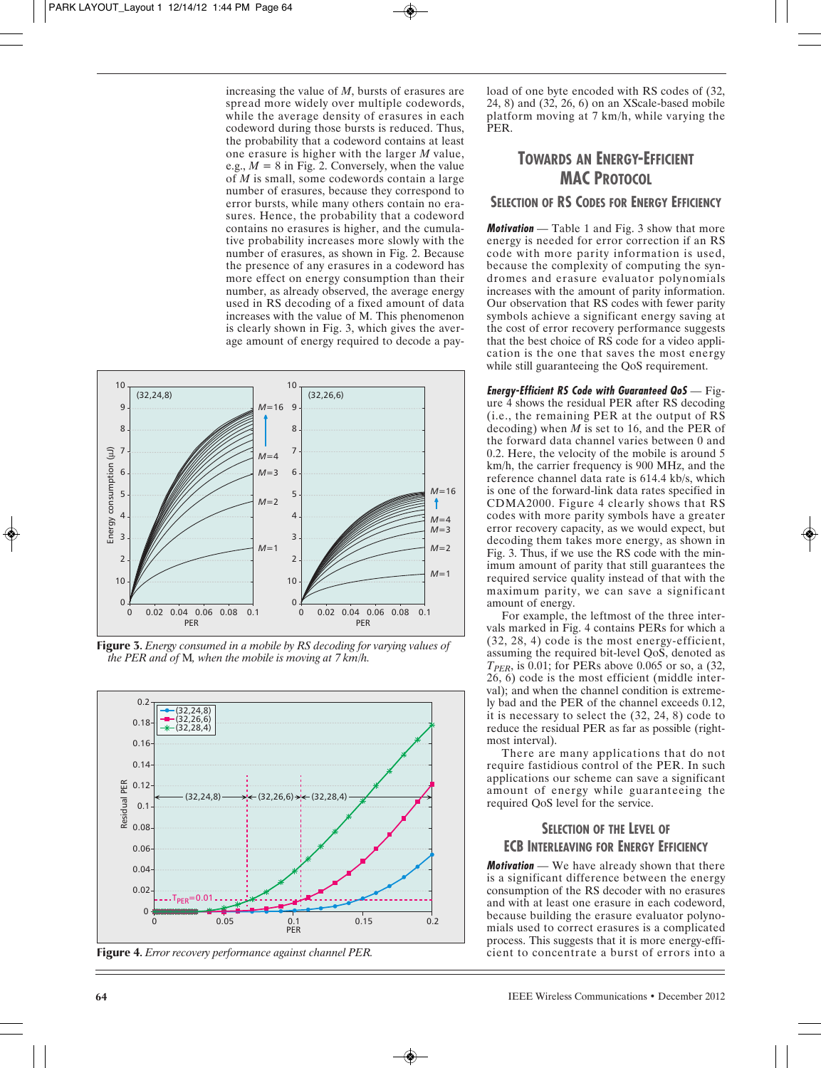increasing the value of *M*, bursts of erasures are spread more widely over multiple codewords, while the average density of erasures in each codeword during those bursts is reduced. Thus, the probability that a codeword contains at least one erasure is higher with the larger *M* value, e.g.,  $M = 8$  in Fig. 2. Conversely, when the value of *M* is small, some codewords contain a large number of erasures, because they correspond to error bursts, while many others contain no erasures. Hence, the probability that a codeword contains no erasures is higher, and the cumulative probability increases more slowly with the number of erasures, as shown in Fig. 2. Because the presence of any erasures in a codeword has more effect on energy consumption than their number, as already observed, the average energy used in RS decoding of a fixed amount of data increases with the value of M. This phenomenon is clearly shown in Fig. 3, which gives the average amount of energy required to decode a pay-



**Figure 3.** *Energy consumed in a mobile by RS decoding for varying values of the PER and of* M*, when the mobile is moving at 7 km/h.*



**Figure 4.** *Error recovery performance against channel PER.*

load of one byte encoded with RS codes of (32, 24, 8) and (32, 26, 6) on an XScale-based mobile platform moving at 7 km/h, while varying the PER.

# **TOWARDS AN ENERGY-EFFICIENT MAC PROTOCOL**

## **SELECTION OF RS CODES FOR ENERGY EFFICIENCY**

**Motivation** — Table 1 and Fig. 3 show that more energy is needed for error correction if an RS code with more parity information is used, because the complexity of computing the syndromes and erasure evaluator polynomials increases with the amount of parity information. Our observation that RS codes with fewer parity symbols achieve a significant energy saving at the cost of error recovery performance suggests that the best choice of RS code for a video application is the one that saves the most energy while still guaranteeing the QoS requirement.

**Energy-Efficient RS Code with Guaranteed QoS** — Figure 4 shows the residual PER after RS decoding (i.e., the remaining PER at the output of RS decoding) when *M* is set to 16, and the PER of the forward data channel varies between 0 and 0.2. Here, the velocity of the mobile is around 5 km/h, the carrier frequency is 900 MHz, and the reference channel data rate is 614.4 kb/s, which is one of the forward-link data rates specified in CDMA2000. Figure 4 clearly shows that RS codes with more parity symbols have a greater error recovery capacity, as we would expect, but decoding them takes more energy, as shown in Fig. 3. Thus, if we use the RS code with the minimum amount of parity that still guarantees the required service quality instead of that with the maximum parity, we can save a significant amount of energy.

For example, the leftmost of the three intervals marked in Fig. 4 contains PERs for which a (32, 28, 4) code is the most energy-efficient, assuming the required bit-level QoS, denoted as *TPER*, is 0.01; for PERs above 0.065 or so, a (32, 26, 6) code is the most efficient (middle interval); and when the channel condition is extremely bad and the PER of the channel exceeds 0.12, it is necessary to select the (32, 24, 8) code to reduce the residual PER as far as possible (rightmost interval).

There are many applications that do not require fastidious control of the PER. In such applications our scheme can save a significant amount of energy while guaranteeing the required QoS level for the service.

# **SELECTION OF THE LEVEL OF ECB INTERLEAVING FOR ENERGY EFFICIENCY**

**Motivation** — We have already shown that there is a significant difference between the energy consumption of the RS decoder with no erasures and with at least one erasure in each codeword, because building the erasure evaluator polynomials used to correct erasures is a complicated process. This suggests that it is more energy-efficient to concentrate a burst of errors into a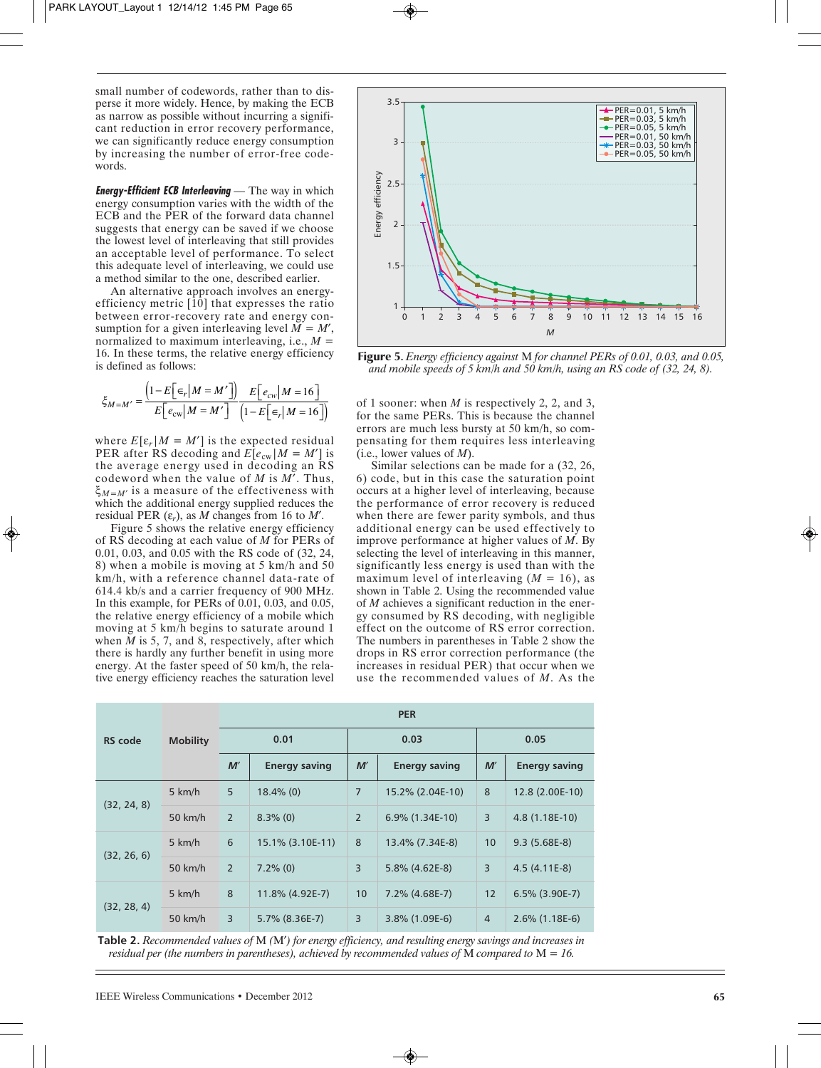small number of codewords, rather than to disperse it more widely. Hence, by making the ECB as narrow as possible without incurring a significant reduction in error recovery performance, we can significantly reduce energy consumption by increasing the number of error-free codewords.

**Energy-Efficient ECB Interleaving** — The way in which energy consumption varies with the width of the ECB and the PER of the forward data channel suggests that energy can be saved if we choose the lowest level of interleaving that still provides an acceptable level of performance. To select this adequate level of interleaving, we could use a method similar to the one, described earlier.

An alternative approach involves an energyefficiency metric [10] that expresses the ratio between error-recovery rate and energy consumption for a given interleaving level  $\overline{M} = M'$ , normalized to maximum interleaving, i.e., *M* = 16. In these terms, the relative energy efficiency is defined as follows:

$$
\xi_{M=M'} = \frac{\left(1 - E\Big[\epsilon_r\big|M = M'\Big]\right)}{E\Big[\epsilon_{\text{cw}}\big|M = M'\Big]\Big)} \frac{E\Big[\epsilon_{\text{cw}}\big|M = 16\Big]}{1 - E\Big[\epsilon_r\big|M = 16\Big]\Big)}
$$

where  $E[\epsilon_r | M = M']$  is the expected residual PER after RS decoding and  $E[e_{\text{cw}}|M = M']$  is the average energy used in decoding an RS codeword when the value of  $M$  is  $M^7$ . Thus,  $\xi_{M=M'}$  is a measure of the effectiveness with which the additional energy supplied reduces the residual PER  $(\varepsilon_r)$ , as *M* changes from 16 to *M'*.

Figure 5 shows the relative energy efficiency of RS decoding at each value of *M* for PERs of 0.01, 0.03, and 0.05 with the RS code of (32, 24, 8) when a mobile is moving at 5 km/h and 50 km/h, with a reference channel data-rate of 614.4 kb/s and a carrier frequency of 900 MHz. In this example, for PERs of 0.01, 0.03, and 0.05, the relative energy efficiency of a mobile which moving at 5 km/h begins to saturate around 1 when *M* is 5, 7, and 8, respectively, after which there is hardly any further benefit in using more energy. At the faster speed of 50 km/h, the relative energy efficiency reaches the saturation level



**Figure 5.** *Energy efficiency against* M *for channel PERs of 0.01, 0.03, and 0.05, and mobile speeds of 5 km/h and 50 km/h, using an RS code of (32, 24, 8).*

of 1 sooner: when *M* is respectively 2, 2, and 3, for the same PERs. This is because the channel errors are much less bursty at 50 km/h, so compensating for them requires less interleaving (i.e., lower values of *M*).

Similar selections can be made for a (32, 26, 6) code, but in this case the saturation point occurs at a higher level of interleaving, because the performance of error recovery is reduced when there are fewer parity symbols, and thus additional energy can be used effectively to improve performance at higher values of *M*. By selecting the level of interleaving in this manner, significantly less energy is used than with the maximum level of interleaving  $(M = 16)$ , as shown in Table 2. Using the recommended value of *M* achieves a significant reduction in the energy consumed by RS decoding, with negligible effect on the outcome of RS error correction. The numbers in parentheses in Table 2 show the drops in RS error correction performance (the increases in residual PER) that occur when we use the recommended values of *M*. As the

|                | <b>Mobility</b> | <b>PER</b>     |                      |                |                      |                |                      |
|----------------|-----------------|----------------|----------------------|----------------|----------------------|----------------|----------------------|
| <b>RS</b> code |                 | 0.01           |                      | 0.03           |                      | 0.05           |                      |
|                |                 | M'             | <b>Energy saving</b> | M'             | <b>Energy saving</b> | M'             | <b>Energy saving</b> |
| (32, 24, 8)    | 5 km/h          | 5              | $18.4\%$ (0)         | 7              | 15.2% (2.04E-10)     | 8              | 12.8 (2.00E-10)      |
|                | 50 km/h         | $\overline{2}$ | $8.3\%$ (0)          | $\overline{2}$ | $6.9\%$ $(1.34E-10)$ | 3              | 4.8 (1.18E-10)       |
| (32, 26, 6)    | 5 km/h          | 6              | 15.1% (3.10E-11)     | 8              | 13.4% (7.34E-8)      | 10             | $9.3(5.68E-8)$       |
|                | 50 km/h         | $\overline{2}$ | $7.2\%$ (0)          | $\overline{3}$ | 5.8% (4.62E-8)       | 3              | $4.5(4.11E-8)$       |
| (32, 28, 4)    | 5 km/h          | 8              | 11.8% (4.92E-7)      | 10             | 7.2% (4.68E-7)       | 12             | $6.5\%$ (3.90E-7)    |
|                | 50 km/h         | 3              | 5.7% (8.36E-7)       | 3              | 3.8% (1.09E-6)       | $\overline{4}$ | $2.6\%$ (1.18E-6)    |

**Table 2.** *Recommended values of* M *(*M¢*) for energy efficiency, and resulting energy savings and increases in residual per (the numbers in parentheses), achieved by recommended values of* M *compared to*  $M = 16$ .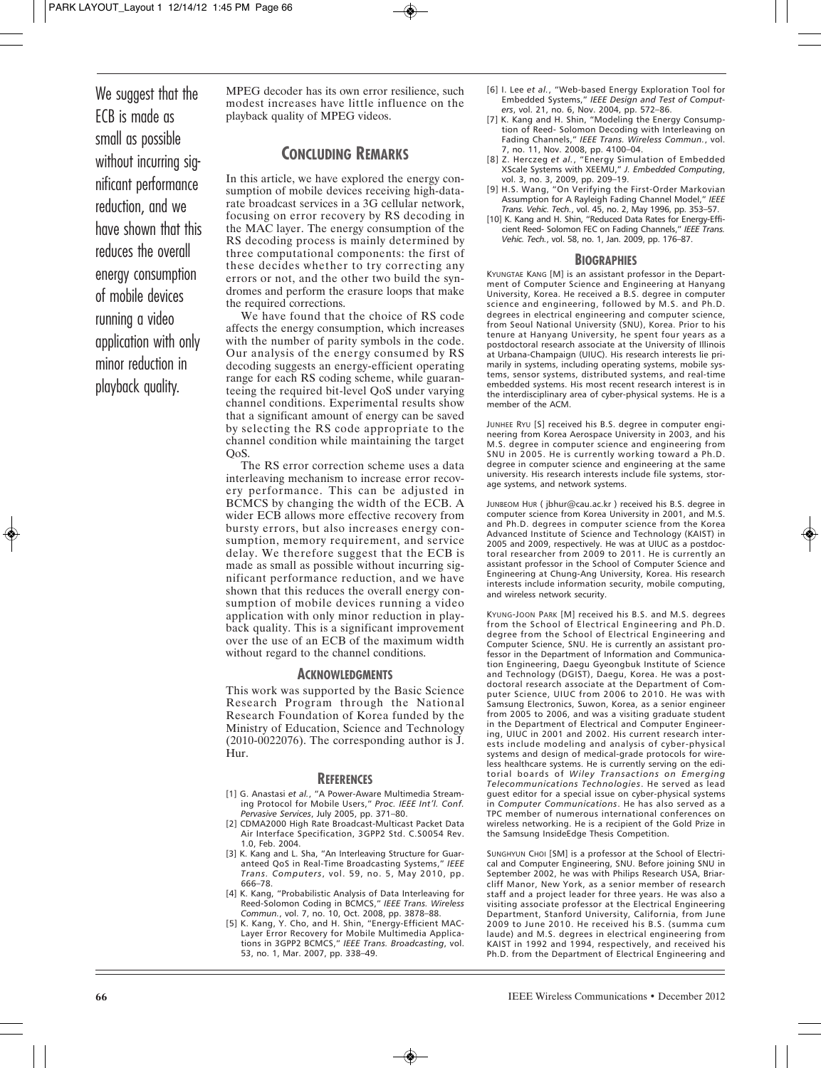We suggest that the ECB is made as small as possible without incurring significant performance reduction, and we have shown that this reduces the overall energy consumption of mobile devices running a video application with only minor reduction in playback quality.

MPEG decoder has its own error resilience, such modest increases have little influence on the playback quality of MPEG videos.

## **CONCLUDING REMARKS**

In this article, we have explored the energy consumption of mobile devices receiving high-datarate broadcast services in a 3G cellular network, focusing on error recovery by RS decoding in the MAC layer. The energy consumption of the RS decoding process is mainly determined by three computational components: the first of these decides whether to try correcting any errors or not, and the other two build the syndromes and perform the erasure loops that make the required corrections.

We have found that the choice of RS code affects the energy consumption, which increases with the number of parity symbols in the code. Our analysis of the energy consumed by RS decoding suggests an energy-efficient operating range for each RS coding scheme, while guaranteeing the required bit-level QoS under varying channel conditions. Experimental results show that a significant amount of energy can be saved by selecting the RS code appropriate to the channel condition while maintaining the target QoS.

The RS error correction scheme uses a data interleaving mechanism to increase error recovery performance. This can be adjusted in BCMCS by changing the width of the ECB. A wider ECB allows more effective recovery from bursty errors, but also increases energy consumption, memory requirement, and service delay. We therefore suggest that the ECB is made as small as possible without incurring significant performance reduction, and we have shown that this reduces the overall energy consumption of mobile devices running a video application with only minor reduction in playback quality. This is a significant improvement over the use of an ECB of the maximum width without regard to the channel conditions.

#### **ACKNOWLEDGMENTS**

This work was supported by the Basic Science Research Program through the National Research Foundation of Korea funded by the Ministry of Education, Science and Technology (2010-0022076). The corresponding author is J. Hur.

#### **REFERENCES**

- [1] G. Anastasi *et al.*, "A Power-Aware Multimedia Streaming Protocol for Mobile Users," *Proc. IEEE Int'l. Conf. Pervasive Services*, July 2005, pp. 371–80.
- [2] CDMA2000 High Rate Broadcast-Multicast Packet Data Air Interface Specification, 3GPP2 Std. C.S0054 Rev. 1.0, Feb. 2004.
- [3] K. Kang and L. Sha, "An Interleaving Structure for Guaranteed QoS in Real-Time Broadcasting Systems," *IEEE Trans. Computers*, vol. 59, no. 5, May 2010, pp. 666–78.
- [4] K. Kang, "Probabilistic Analysis of Data Interleaving for Reed-Solomon Coding in BCMCS," *IEEE Trans. Wireless Commun.*, vol. 7, no. 10, Oct. 2008, pp. 3878–88.
- [5] K. Kang, Y. Cho, and H. Shin, "Energy-Efficient MAC-Layer Error Recovery for Mobile Multimedia Applications in 3GPP2 BCMCS," *IEEE Trans. Broadcasting*, vol. 53, no. 1, Mar. 2007, pp. 338–49.
- [6] I. Lee *et al.*, "Web-based Energy Exploration Tool for Embedded Systems," *IEEE Design and Test of Computers*, vol. 21, no. 6, Nov. 2004, pp. 572–86.
- [7] K. Kang and H. Shin, "Modeling the Energy Consumption of Reed- Solomon Decoding with Interleaving on Fading Channels," *IEEE Trans. Wireless Commun.*, vol. 7, no. 11, Nov. 2008, pp. 4100–04.
- [8] Z. Herczeg *et al.*, "Energy Simulation of Embedded XScale Systems with XEEMU," *J. Embedded Computing*, vol. 3, no. 3, 2009, pp. 209–19.
- [9] H.S. Wang, "On Verifying the First-Order Markovian Assumption for A Rayleigh Fading Channel Model," *IEEE Trans. Vehic. Tech.*, vol. 45, no. 2, May 1996, pp. 353–57.
- [10] K. Kang and H. Shin, "Reduced Data Rates for Energy-Efficient Reed- Solomon FEC on Fading Channels," *IEEE Trans. Vehic. Tech.*, vol. 58, no. 1, Jan. 2009, pp. 176–87.

#### **BIOGRAPHIES**

KYUNGTAE KANG [M] is an assistant professor in the Department of Computer Science and Engineering at Hanyang University, Korea. He received a B.S. degree in computer science and engineering, followed by M.S. and Ph.D. degrees in electrical engineering and computer science, from Seoul National University (SNU), Korea. Prior to his tenure at Hanyang University, he spent four years as a postdoctoral research associate at the University of Illinois at Urbana-Champaign (UIUC). His research interests lie primarily in systems, including operating systems, mobile systems, sensor systems, distributed systems, and real-time embedded systems. His most recent research interest is in the interdisciplinary area of cyber-physical systems. He is a member of the ACM.

JUNHEE RYU [S] received his B.S. degree in computer engineering from Korea Aerospace University in 2003, and his M.S. degree in computer science and engineering from SNU in 2005. He is currently working toward a Ph.D. degree in computer science and engineering at the same university. His research interests include file systems, storage systems, and network systems.

JUNBEOM HUR ( jbhur@cau.ac.kr ) received his B.S. degree in computer science from Korea University in 2001, and M.S. and Ph.D. degrees in computer science from the Korea Advanced Institute of Science and Technology (KAIST) in 2005 and 2009, respectively. He was at UIUC as a postdoctoral researcher from 2009 to 2011. He is currently an assistant professor in the School of Computer Science and Engineering at Chung-Ang University, Korea. His research interests include information security, mobile computing, and wireless network security.

KYUNG-JOON PARK [M] received his B.S. and M.S. degrees from the School of Electrical Engineering and Ph.D. degree from the School of Electrical Engineering and Computer Science, SNU. He is currently an assistant professor in the Department of Information and Communication Engineering, Daegu Gyeongbuk Institute of Science and Technology (DGIST), Daegu, Korea. He was a postdoctoral research associate at the Department of Computer Science, UIUC from 2006 to 2010. He was with Samsung Electronics, Suwon, Korea, as a senior engineer from 2005 to 2006, and was a visiting graduate student in the Department of Electrical and Computer Engineering, UIUC in 2001 and 2002. His current research interests include modeling and analysis of cyber-physical systems and design of medical-grade protocols for wireless healthcare systems. He is currently serving on the editorial boards of *Wiley Transactions on Emerging Telecommunications Technologies*. He served as lead guest editor for a special issue on cyber-physical systems in *Computer Communications*. He has also served as a TPC member of numerous international conferences on wireless networking. He is a recipient of the Gold Prize in the Samsung InsideEdge Thesis Competition.

SUNGHYUN CHOI [SM] is a professor at the School of Electrical and Computer Engineering, SNU. Before joining SNU in September 2002, he was with Philips Research USA, Briarcliff Manor, New York, as a senior member of research staff and a project leader for three years. He was also a visiting associate professor at the Electrical Engineering Department, Stanford University, California, from June 2009 to June 2010. He received his B.S. (summa cum laude) and M.S. degrees in electrical engineering from KAIST in 1992 and 1994, respectively, and received his Ph.D. from the Department of Electrical Engineering and